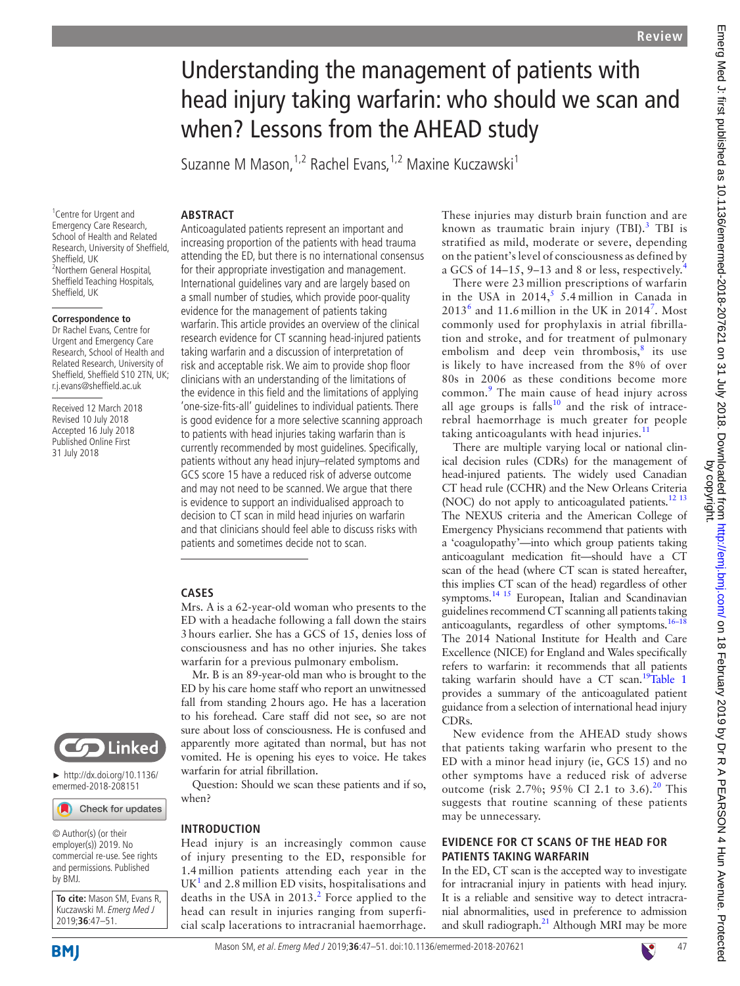# Understanding the management of patients with head injury taking warfarin: who should we scan and when? Lessons from the AHEAD study

Suzanne M Mason, <sup>1,2</sup> Rachel Evans, <sup>1,2</sup> Maxine Kuczawski<sup>1</sup>

# **Abstract**

<sup>1</sup> Centre for Urgent and Emergency Care Research, School of Health and Related Research, University of Sheffield, Sheffield, UK 2 Northern General Hospital, Sheffield Teaching Hospitals, Sheffield, UK

#### **Correspondence to**

Dr Rachel Evans, Centre for Urgent and Emergency Care Research, School of Health and Related Research, University of Sheffield, Sheffield S10 2TN, UK; r.j.evans@sheffield.ac.uk

Received 12 March 2018 Revised 10 July 2018 Accepted 16 July 2018 Published Online First 31 July 2018



► [http://dx.doi.org/10.1136/](http://dx.doi.org/10.1136/emermed-2018-208151 ) [emermed-2018-208151](http://dx.doi.org/10.1136/emermed-2018-208151 ) 

Check for updates

© Author(s) (or their employer(s)) 2019. No commercial re-use. See rights and permissions. Published by BMJ.

**To cite:** Mason SM, Evans R, Kuczawski M. Emerg Med J 2019;**36**:47–51.

**BMI** 

Anticoagulated patients represent an important and increasing proportion of the patients with head trauma attending the ED, but there is no international consensus for their appropriate investigation and management. International guidelines vary and are largely based on a small number of studies, which provide poor-quality evidence for the management of patients taking warfarin. This article provides an overview of the clinical research evidence for CT scanning head-injured patients taking warfarin and a discussion of interpretation of risk and acceptable risk. We aim to provide shop floor clinicians with an understanding of the limitations of the evidence in this field and the limitations of applying 'one-size-fits-all' guidelines to individual patients. There is good evidence for a more selective scanning approach to patients with head injuries taking warfarin than is currently recommended by most guidelines. Specifically, patients without any head injury–related symptoms and GCS score 15 have a reduced risk of adverse outcome and may not need to be scanned. We argue that there is evidence to support an individualised approach to decision to CT scan in mild head injuries on warfarin and that clinicians should feel able to discuss risks with patients and sometimes decide not to scan.

# **Cases**

Mrs. A is a 62-year-old woman who presents to the ED with a headache following a fall down the stairs 3hours earlier. She has a GCS of 15, denies loss of consciousness and has no other injuries. She takes warfarin for a previous pulmonary embolism.

Mr. B is an 89-year-old man who is brought to the ED by his care home staff who report an unwitnessed fall from standing 2hours ago. He has a laceration to his forehead. Care staff did not see, so are not sure about loss of consciousness. He is confused and apparently more agitated than normal, but has not vomited. He is opening his eyes to voice. He takes warfarin for atrial fibrillation.

Question: Should we scan these patients and if so, when?

#### **Introduction**

Head injury is an increasingly common cause of injury presenting to the ED, responsible for 1.4 million patients attending each year in the  $\mathrm{UK}^1$  $\mathrm{UK}^1$  and 2.8 million ED visits, hospitalisations and deaths in the USA in  $2013.<sup>2</sup>$  $2013.<sup>2</sup>$  Force applied to the head can result in injuries ranging from superficial scalp lacerations to intracranial haemorrhage.

These injuries may disturb brain function and are known as traumatic brain injury (TBI).<sup>[3](#page-3-2)</sup> TBI is stratified as mild, moderate or severe, depending on the patient's level of consciousness as defined by a GCS of 14–15, 9–13 and 8 or less, respectively.[4](#page-3-3)

There were 23 million prescriptions of warfarin in the USA in  $2014$ ,<sup>[5](#page-3-4)</sup> 5.4 million in Canada in  $2013<sup>6</sup>$  $2013<sup>6</sup>$  $2013<sup>6</sup>$  and 11.6 million in the UK in 2014<sup>[7](#page-3-6)</sup>. Most commonly used for prophylaxis in atrial fibrillation and stroke, and for treatment of pulmonary embolism and deep vein thrombosis, $8$  its use is likely to have increased from the 8% of over 80s in 2006 as these conditions become more common.<sup>[9](#page-3-8)</sup> The main cause of head injury across all age groups is falls<sup>10</sup> and the risk of intracerebral haemorrhage is much greater for people taking anticoagulants with head injuries. $11$ 

There are multiple varying local or national clinical decision rules (CDRs) for the management of head-injured patients. The widely used Canadian CT head rule (CCHR) and the New Orleans Criteria (NOC) do not apply to anticoagulated patients.<sup>12 13</sup> The NEXUS criteria and the American College of Emergency Physicians recommend that patients with a 'coagulopathy'—into which group patients taking anticoagulant medication fit—should have a CT scan of the head (where CT scan is stated hereafter, this implies CT scan of the head) regardless of other symptoms.<sup>14 15</sup> European, Italian and Scandinavian guidelines recommend CT scanning all patients taking anticoagulants, regardless of other symptoms. $16-18$ The 2014 National Institute for Health and Care Excellence (NICE) for England and Wales specifically refers to warfarin: it recommends that all patients taking warfarin should have a  $CT$  scan.<sup>19</sup>[Table](#page-1-0) 1 provides a summary of the anticoagulated patient guidance from a selection of international head injury CDRs.

New evidence from the AHEAD study shows that patients taking warfarin who present to the ED with a minor head injury (ie, GCS 15) and no other symptoms have a reduced risk of adverse outcome (risk 2.7%; 95% CI 2.1 to 3.6).<sup>[20](#page-4-0)</sup> This suggests that routine scanning of these patients may be unnecessary.

# **Evidence for CT scans of the head for PATIENTS TAKING WARFARIN**

In the ED, CT scan is the accepted way to investigate for intracranial injury in patients with head injury. It is a reliable and sensitive way to detect intracranial abnormalities, used in preference to admission and skull radiograph.<sup>21</sup> Although MRI may be more

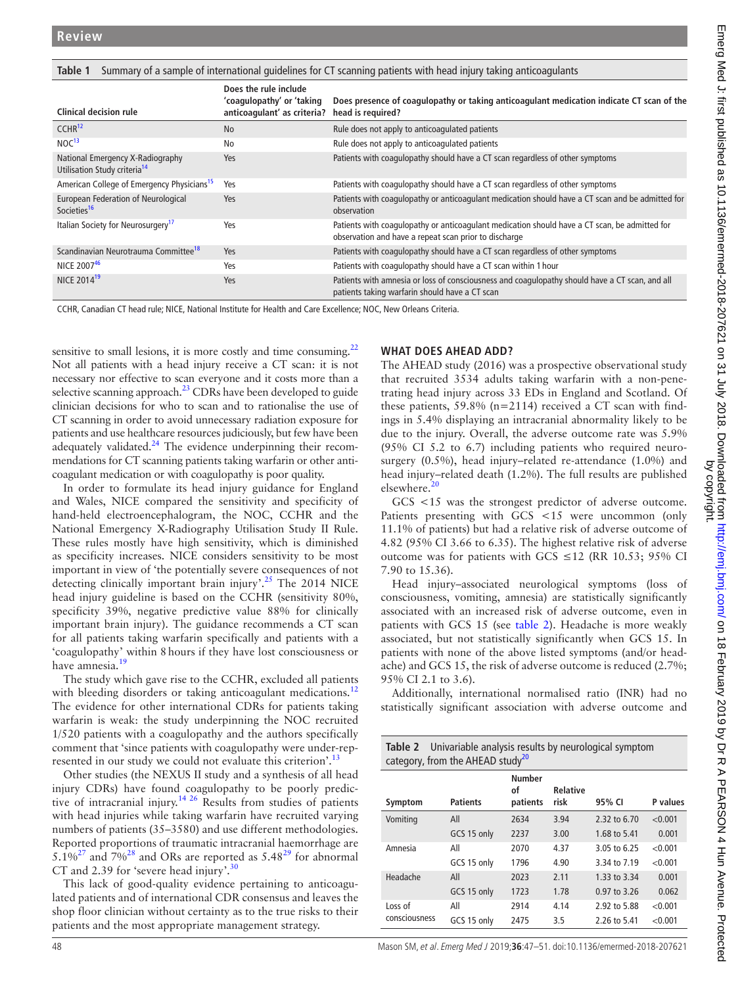<span id="page-1-0"></span>

|  | Table 1 Summary of a sample of international guidelines for CT scanning patients with head injury taking anticoagulants |  |  |
|--|-------------------------------------------------------------------------------------------------------------------------|--|--|
|  |                                                                                                                         |  |  |

| <b>Clinical decision rule</b>                                                | Does the rule include<br>'coaqulopathy' or 'taking<br>anticoagulant' as criteria? | Does presence of coagulopathy or taking anticoagulant medication indicate CT scan of the<br>head is required?                                          |
|------------------------------------------------------------------------------|-----------------------------------------------------------------------------------|--------------------------------------------------------------------------------------------------------------------------------------------------------|
| CCHR <sup>12</sup>                                                           | <b>No</b>                                                                         | Rule does not apply to anticoagulated patients                                                                                                         |
| NOC <sup>13</sup>                                                            | No                                                                                | Rule does not apply to anticoagulated patients                                                                                                         |
| National Emergency X-Radiography<br>Utilisation Study criteria <sup>14</sup> | Yes                                                                               | Patients with coagulopathy should have a CT scan regardless of other symptoms                                                                          |
| American College of Emergency Physicians <sup>15</sup>                       | Yes                                                                               | Patients with coagulopathy should have a CT scan regardless of other symptoms                                                                          |
| European Federation of Neurological<br>Societies <sup>16</sup>               | Yes                                                                               | Patients with coagulopathy or anticoagulant medication should have a CT scan and be admitted for<br>observation                                        |
| Italian Society for Neurosurgery <sup>17</sup>                               | Yes                                                                               | Patients with coagulopathy or anticoagulant medication should have a CT scan, be admitted for<br>observation and have a repeat scan prior to discharge |
| Scandinavian Neurotrauma Committee <sup>18</sup>                             | Yes                                                                               | Patients with coagulopathy should have a CT scan regardless of other symptoms                                                                          |
| NICE 200746                                                                  | Yes                                                                               | Patients with coagulopathy should have a CT scan within 1 hour                                                                                         |
| NICE 2014 <sup>19</sup>                                                      | Yes                                                                               | Patients with amnesia or loss of consciousness and coagulopathy should have a CT scan, and all<br>patients taking warfarin should have a CT scan       |

CCHR, Canadian CT head rule; NICE, National Institute for Health and Care Excellence; NOC, New Orleans Criteria.

sensitive to small lesions, it is more costly and time consuming. $^{22}$ Not all patients with a head injury receive a CT scan: it is not necessary nor effective to scan everyone and it costs more than a selective scanning approach. $^{23}$  $^{23}$  $^{23}$  CDRs have been developed to guide clinician decisions for who to scan and to rationalise the use of CT scanning in order to avoid unnecessary radiation exposure for patients and use healthcare resources judiciously, but few have been adequately validated. $24$  The evidence underpinning their recommendations for CT scanning patients taking warfarin or other anticoagulant medication or with coagulopathy is poor quality.

In order to formulate its head injury guidance for England and Wales, NICE compared the sensitivity and specificity of hand-held electroencephalogram, the NOC, CCHR and the National Emergency X-Radiography Utilisation Study II Rule. These rules mostly have high sensitivity, which is diminished as specificity increases. NICE considers sensitivity to be most important in view of 'the potentially severe consequences of not detecting clinically important brain injury'.[25](#page-4-6) The 2014 NICE head injury guideline is based on the CCHR (sensitivity 80%, specificity 39%, negative predictive value 88% for clinically important brain injury). The guidance recommends a CT scan for all patients taking warfarin specifically and patients with a 'coagulopathy' within 8hours if they have lost consciousness or have amnesia.<sup>[19](#page-3-14)</sup>

The study which gave rise to the CCHR, excluded all patients with bleeding disorders or taking anticoagulant medications.<sup>[12](#page-3-11)</sup> The evidence for other international CDRs for patients taking warfarin is weak: the study underpinning the NOC recruited 1/520 patients with a coagulopathy and the authors specifically comment that 'since patients with coagulopathy were under-represented in our study we could not evaluate this criterion'.<sup>1</sup>

Other studies (the NEXUS II study and a synthesis of all head injury CDRs) have found coagulopathy to be poorly predictive of intracranial injury[.14 26](#page-3-12) Results from studies of patients with head injuries while taking warfarin have recruited varying numbers of patients (35–3580) and use different methodologies. Reported proportions of traumatic intracranial haemorrhage are  $5.1\%^{27}$  $5.1\%^{27}$  $5.1\%^{27}$  and  $7\%^{28}$  and ORs are reported as  $5.48^{29}$  for abnormal CT and 2.39 for 'severe head injury'. $\frac{30}{2}$ 

This lack of good-quality evidence pertaining to anticoagulated patients and of international CDR consensus and leaves the shop floor clinician without certainty as to the true risks to their patients and the most appropriate management strategy.

# **What does AHEAD add?**

The AHEAD study (2016) was a prospective observational study that recruited 3534 adults taking warfarin with a non-penetrating head injury across 33 EDs in England and Scotland. Of these patients, 59.8% (n=2114) received a CT scan with findings in 5.4% displaying an intracranial abnormality likely to be due to the injury. Overall, the adverse outcome rate was 5.9% (95% CI 5.2 to 6.7) including patients who required neurosurgery (0.5%), head injury–related re-attendance (1.0%) and head injury–related death (1.2%). The full results are published elsewhere.<sup>[20](#page-4-0)</sup>

GCS <15 was the strongest predictor of adverse outcome. Patients presenting with GCS <15 were uncommon (only 11.1% of patients) but had a relative risk of adverse outcome of 4.82 (95% CI 3.66 to 6.35). The highest relative risk of adverse outcome was for patients with GCS ≤12 (RR 10.53; 95% CI 7.90 to 15.36).

Head injury–associated neurological symptoms (loss of consciousness, vomiting, amnesia) are statistically significantly associated with an increased risk of adverse outcome, even in patients with GCS 15 (see [table](#page-1-1) 2). Headache is more weakly associated, but not statistically significantly when GCS 15. In patients with none of the above listed symptoms (and/or headache) and GCS 15, the risk of adverse outcome is reduced (2.7%; 95% CI 2.1 to 3.6).

Additionally, international normalised ratio (INR) had no statistically significant association with adverse outcome and

<span id="page-1-1"></span>

|                                              | <b>Table 2</b> Univariable analysis results by neurological symptom |  |  |  |  |
|----------------------------------------------|---------------------------------------------------------------------|--|--|--|--|
| category, from the AHEAD study <sup>20</sup> |                                                                     |  |  |  |  |

|               |                 | <b>Number</b><br>οf | <b>Relative</b> |              |          |
|---------------|-----------------|---------------------|-----------------|--------------|----------|
| Symptom       | <b>Patients</b> | patients            | risk            | 95% CI       | P values |
| Vomiting      | All             | 2634                | 3.94            | 2.32 to 6.70 | < 0.001  |
|               | GCS 15 only     | 2237                | 3.00            | 1.68 to 5.41 | 0.001    |
| Amnesia       | All             | 2070                | 4.37            | 3.05 to 6.25 | < 0.001  |
|               | GCS 15 only     | 1796                | 4.90            | 3.34 to 7.19 | < 0.001  |
| Headache      | All             | 2023                | 2.11            | 1.33 to 3.34 | 0.001    |
|               | GCS 15 only     | 1723                | 1.78            | 0.97 to 3.26 | 0.062    |
| Loss of       | All             | 2914                | 4.14            | 2.92 to 5.88 | < 0.001  |
| consciousness | GCS 15 only     | 2475                | 3.5             | 2.26 to 5.41 | < 0.001  |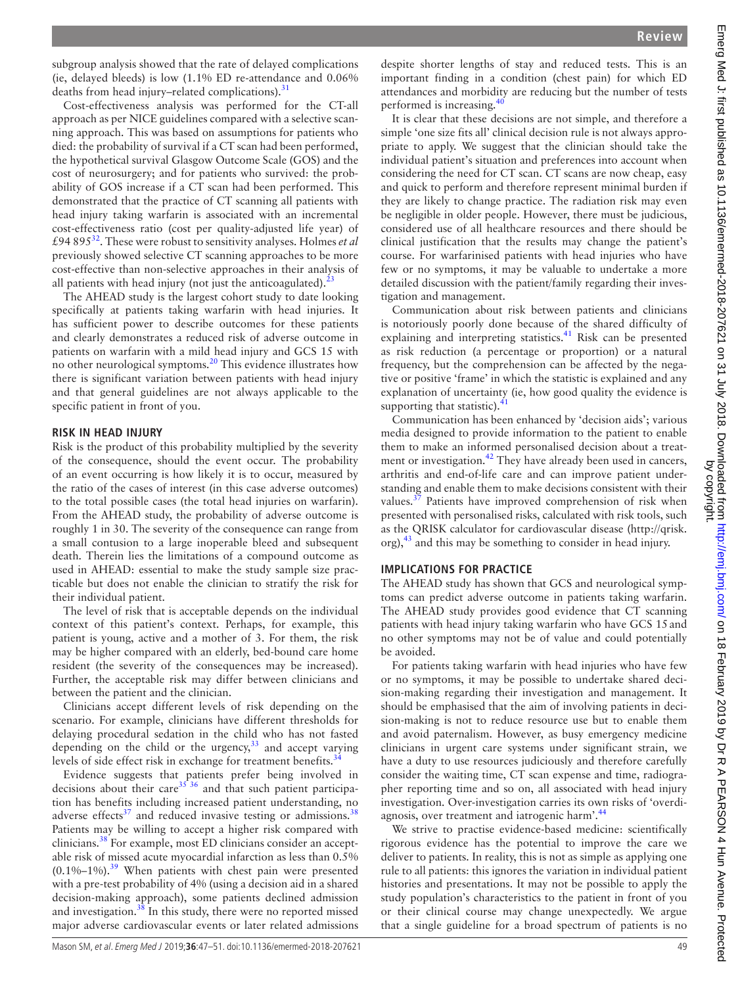subgroup analysis showed that the rate of delayed complications (ie, delayed bleeds) is low (1.1% ED re-attendance and 0.06% deaths from head injury–related complications).<sup>[31](#page-4-11)</sup>

Cost-effectiveness analysis was performed for the CT-all approach as per NICE guidelines compared with a selective scanning approach. This was based on assumptions for patients who died: the probability of survival if a CT scan had been performed, the hypothetical survival Glasgow Outcome Scale (GOS) and the cost of neurosurgery; and for patients who survived: the probability of GOS increase if a CT scan had been performed. This demonstrated that the practice of CT scanning all patients with head injury taking warfarin is associated with an incremental cost-effectiveness ratio (cost per quality-adjusted life year) of £94 895[32](#page-4-12). These were robust to sensitivity analyses. Holmes *et al* previously showed selective CT scanning approaches to be more cost-effective than non-selective approaches in their analysis of all patients with head injury (not just the anticoagulated). $^{23}$  $^{23}$  $^{23}$ 

The AHEAD study is the largest cohort study to date looking specifically at patients taking warfarin with head injuries. It has sufficient power to describe outcomes for these patients and clearly demonstrates a reduced risk of adverse outcome in patients on warfarin with a mild head injury and GCS 15 with no other neurological symptoms.<sup>[20](#page-4-0)</sup> This evidence illustrates how there is significant variation between patients with head injury and that general guidelines are not always applicable to the specific patient in front of you.

## **Risk in head injury**

Risk is the product of this probability multiplied by the severity of the consequence, should the event occur. The probability of an event occurring is how likely it is to occur, measured by the ratio of the cases of interest (in this case adverse outcomes) to the total possible cases (the total head injuries on warfarin). From the AHEAD study, the probability of adverse outcome is roughly 1 in 30. The severity of the consequence can range from a small contusion to a large inoperable bleed and subsequent death. Therein lies the limitations of a compound outcome as used in AHEAD: essential to make the study sample size practicable but does not enable the clinician to stratify the risk for their individual patient.

The level of risk that is acceptable depends on the individual context of this patient's context. Perhaps, for example, this patient is young, active and a mother of 3. For them, the risk may be higher compared with an elderly, bed-bound care home resident (the severity of the consequences may be increased). Further, the acceptable risk may differ between clinicians and between the patient and the clinician.

Clinicians accept different levels of risk depending on the scenario. For example, clinicians have different thresholds for delaying procedural sedation in the child who has not fasted depending on the child or the urgency, $33$  and accept varying levels of side effect risk in exchange for treatment benefits.<sup>3</sup>

Evidence suggests that patients prefer being involved in decisions about their care[35 36](#page-4-15) and that such patient participation has benefits including increased patient understanding, no adverse effects $37$  and reduced invasive testing or admissions.<sup>[38](#page-4-17)</sup> Patients may be willing to accept a higher risk compared with clinicians.<sup>38</sup> For example, most ED clinicians consider an acceptable risk of missed acute myocardial infarction as less than 0.5%  $(0.1\% - 1\%)$ .<sup>[39](#page-4-18)</sup> When patients with chest pain were presented with a pre-test probability of 4% (using a decision aid in a shared decision-making approach), some patients declined admission and investigation[.38](#page-4-17) In this study, there were no reported missed major adverse cardiovascular events or later related admissions

despite shorter lengths of stay and reduced tests. This is an important finding in a condition (chest pain) for which ED attendances and morbidity are reducing but the number of tests performed is increasing.<sup>4</sup>

It is clear that these decisions are not simple, and therefore a simple 'one size fits all' clinical decision rule is not always appropriate to apply. We suggest that the clinician should take the individual patient's situation and preferences into account when considering the need for CT scan. CT scans are now cheap, easy and quick to perform and therefore represent minimal burden if they are likely to change practice. The radiation risk may even be negligible in older people. However, there must be judicious, considered use of all healthcare resources and there should be clinical justification that the results may change the patient's course. For warfarinised patients with head injuries who have few or no symptoms, it may be valuable to undertake a more detailed discussion with the patient/family regarding their investigation and management.

Communication about risk between patients and clinicians is notoriously poorly done because of the shared difficulty of explaining and interpreting statistics.<sup>[41](#page-4-20)</sup> Risk can be presented as risk reduction (a percentage or proportion) or a natural frequency, but the comprehension can be affected by the negative or positive 'frame' in which the statistic is explained and any explanation of uncertainty (ie, how good quality the evidence is supporting that statistic). $41$ 

Communication has been enhanced by 'decision aids'; various media designed to provide information to the patient to enable them to make an informed personalised decision about a treatment or investigation.<sup>42</sup> They have already been used in cancers, arthritis and end-of-life care and can improve patient understanding and enable them to make decisions consistent with their values.<sup>[37](#page-4-16)</sup> Patients have improved comprehension of risk when presented with personalised risks, calculated with risk tools, such as the QRISK calculator for cardiovascular disease ([http://qrisk.](http://qrisk.org) [org\)](http://qrisk.org),<sup>43</sup> and this may be something to consider in head injury.

## **Implications for practice**

The AHEAD study has shown that GCS and neurological symptoms can predict adverse outcome in patients taking warfarin. The AHEAD study provides good evidence that CT scanning patients with head injury taking warfarin who have GCS 15and no other symptoms may not be of value and could potentially be avoided.

For patients taking warfarin with head injuries who have few or no symptoms, it may be possible to undertake shared decision-making regarding their investigation and management. It should be emphasised that the aim of involving patients in decision-making is not to reduce resource use but to enable them and avoid paternalism. However, as busy emergency medicine clinicians in urgent care systems under significant strain, we have a duty to use resources judiciously and therefore carefully consider the waiting time, CT scan expense and time, radiographer reporting time and so on, all associated with head injury investigation. Over-investigation carries its own risks of 'overdi-agnosis, over treatment and iatrogenic harm'.<sup>[44](#page-4-23)</sup>

We strive to practise evidence-based medicine: scientifically rigorous evidence has the potential to improve the care we deliver to patients. In reality, this is not as simple as applying one rule to all patients: this ignores the variation in individual patient histories and presentations. It may not be possible to apply the study population's characteristics to the patient in front of you or their clinical course may change unexpectedly. We argue that a single guideline for a broad spectrum of patients is no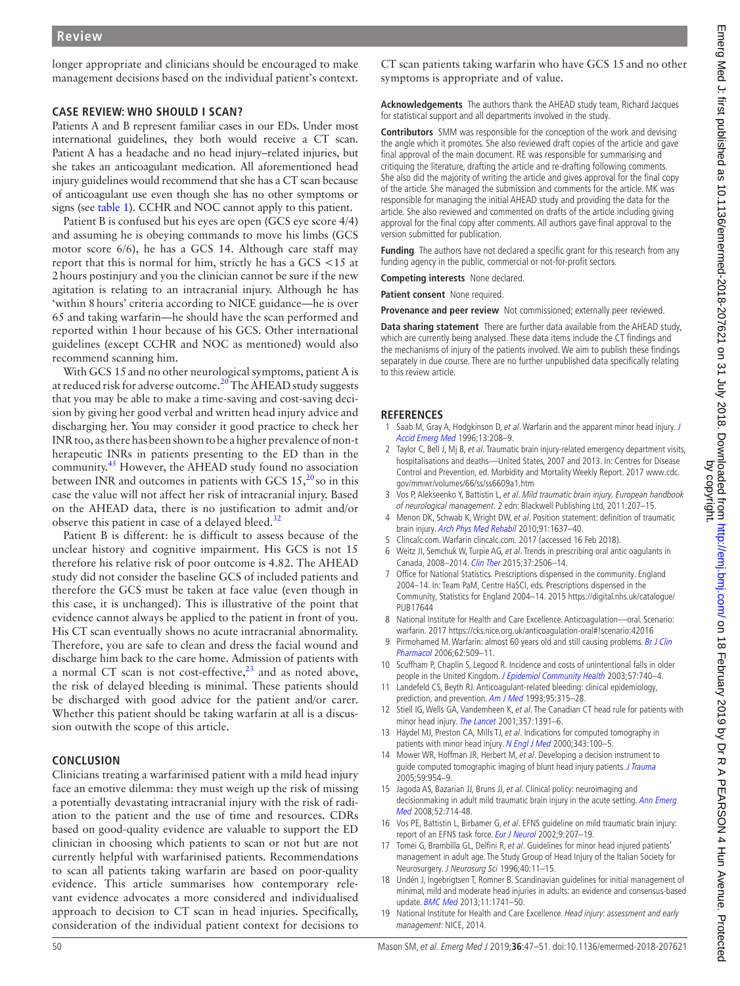longer appropriate and clinicians should be encouraged to make management decisions based on the individual patient's context.

# **Case review: who should I scan?**

Patients A and B represent familiar cases in our EDs. Under most international guidelines, they both would receive a CT scan. Patient A has a headache and no head injury–related injuries, but she takes an anticoagulant medication. All aforementioned head injury guidelines would recommend that she has a CT scan because of anticoagulant use even though she has no other symptoms or signs (see [table](#page-1-0) 1). CCHR and NOC cannot apply to this patient.

Patient B is confused but his eyes are open (GCS eye score 4/4) and assuming he is obeying commands to move his limbs (GCS motor score 6/6), he has a GCS 14. Although care staff may report that this is normal for him, strictly he has a GCS <15 at 2hours postinjury and you the clinician cannot be sure if the new agitation is relating to an intracranial injury. Although he has 'within 8hours' criteria according to NICE guidance—he is over 65 and taking warfarin—he should have the scan performed and reported within 1hour because of his GCS. Other international guidelines (except CCHR and NOC as mentioned) would also recommend scanning him.

With GCS 15 and no other neurological symptoms, patient A is at reduced risk for adverse outcome.<sup>[20](#page-4-0)</sup> The AHEAD study suggests that you may be able to make a time-saving and cost-saving decision by giving her good verbal and written head injury advice and discharging her. You may consider it good practice to check her INR too, as there has been shown to be a higher prevalence of non-t herapeutic INRs in patients presenting to the ED than in the community.[45](#page-4-24) However, the AHEAD study found no association between INR and outcomes in patients with GCS  $15, \frac{20}{10}$  $15, \frac{20}{10}$  $15, \frac{20}{10}$  so in this case the value will not affect her risk of intracranial injury. Based on the AHEAD data, there is no justification to admit and/or observe this patient in case of a delayed bleed. $32$ 

Patient B is different: he is difficult to assess because of the unclear history and cognitive impairment. His GCS is not 15 therefore his relative risk of poor outcome is 4.82. The AHEAD study did not consider the baseline GCS of included patients and therefore the GCS must be taken at face value (even though in this case, it is unchanged). This is illustrative of the point that evidence cannot always be applied to the patient in front of you. His CT scan eventually shows no acute intracranial abnormality. Therefore, you are safe to clean and dress the facial wound and discharge him back to the care home. Admission of patients with a normal CT scan is not cost-effective, $^{23}$  $^{23}$  $^{23}$  and as noted above, the risk of delayed bleeding is minimal. These patients should be discharged with good advice for the patient and/or carer. Whether this patient should be taking warfarin at all is a discussion outwith the scope of this article.

# **Conclusion**

Clinicians treating a warfarinised patient with a mild head injury face an emotive dilemma: they must weigh up the risk of missing a potentially devastating intracranial injury with the risk of radiation to the patient and the use of time and resources. CDRs based on good-quality evidence are valuable to support the ED clinician in choosing which patients to scan or not but are not currently helpful with warfarinised patients. Recommendations to scan all patients taking warfarin are based on poor-quality evidence. This article summarises how contemporary relevant evidence advocates a more considered and individualised approach to decision to CT scan in head injuries. Specifically, consideration of the individual patient context for decisions to

CT scan patients taking warfarin who have GCS 15and no other symptoms is appropriate and of value.

**Acknowledgements** The authors thank the AHEAD study team, Richard Jacques for statistical support and all departments involved in the study.

**Contributors** SMM was responsible for the conception of the work and devising the angle which it promotes. She also reviewed draft copies of the article and gave final approval of the main document. RE was responsible for summarising and critiquing the literature, drafting the article and re-drafting following comments. She also did the majority of writing the article and gives approval for the final copy of the article. She managed the submission and comments for the article. MK was responsible for managing the initial AHEAD study and providing the data for the article. She also reviewed and commented on drafts of the article including giving approval for the final copy after comments. All authors gave final approval to the version submitted for publication.

**Funding** The authors have not declared a specific grant for this research from any funding agency in the public, commercial or not-for-profit sectors.

**Competing interests** None declared.

**Patient consent** None required.

**Provenance and peer review** Not commissioned; externally peer reviewed.

**Data sharing statement** There are further data available from the AHEAD study, which are currently being analysed. These data items include the CT findings and the mechanisms of injury of the patients involved. We aim to publish these findings separately in due course. There are no further unpublished data specifically relating to this review article.

## **References**

- <span id="page-3-0"></span>1 Saab M, Gray A, Hodgkinson D, et al. Warfarin and the apparent minor head injury. J [Accid Emerg Med](http://dx.doi.org/10.1136/emj.13.3.208) 1996;13:208–9.
- <span id="page-3-1"></span>2 Taylor C, Bell J, Mj B, et al. Traumatic brain injury-related emergency department visits, hospitalisations and deaths—United States, 2007 and 2013. In: Centres for Disease Control and Prevention, ed. Morbidity and Mortality Weekly Report. 2017 [www.cdc.](www.cdc.gov/mmwr/volumes/66/ss/ss6609a1.htm) [gov/mmwr/volumes/66/ss/ss6609a1.htm](www.cdc.gov/mmwr/volumes/66/ss/ss6609a1.htm)
- <span id="page-3-2"></span>3 Vos P, Alekseenko Y, Battistin L, et al. Mild traumatic brain injury. European handbook of neurological management. 2 edn: Blackwell Publishing Ltd, 2011:207–15.
- <span id="page-3-3"></span>4 Menon DK, Schwab K, Wright DW, et al. Position statement: definition of traumatic brain injury. [Arch Phys Med Rehabil](http://dx.doi.org/10.1016/j.apmr.2010.05.017) 2010;91:1637–40.
- <span id="page-3-4"></span>5 Clincalc.com. Warfarin clincalc.com. 2017 (accessed 16 Feb 2018).
- <span id="page-3-5"></span>6 Weitz JI, Semchuk W, Turpie AG, et al. Trends in prescribing oral antic oagulants in Canada, 2008–2014. [Clin Ther](http://dx.doi.org/10.1016/j.clinthera.2015.09.008) 2015;37:2506–14.
- <span id="page-3-6"></span>7 Office for National Statistics. Prescriptions dispensed in the community. England 2004–14. In: Team PaM, Centre HaSCI, eds. Prescriptions dispensed in the Community, Statistics for England 2004–14. 2015 [https://digital.nhs.uk/catalogue/](https://digital.nhs.uk/catalogue/PUB17644) [PUB17644](https://digital.nhs.uk/catalogue/PUB17644)
- <span id="page-3-7"></span>8 National Institute for Health and Care Excellence. Anticoagulation—oral. Scenario: warfarin. 2017<https://cks.nice.org.uk/anticoagulation-oral#!scenario:42016>
- <span id="page-3-8"></span>9 Pirmohamed M. Warfarin: almost 60 years old and still causing problems. Br J Clin [Pharmacol](http://dx.doi.org/10.1111/j.1365-2125.2006.02806.x) 2006;62:509–11.
- <span id="page-3-9"></span>10 Scuffham P, Chaplin S, Legood R. Incidence and costs of unintentional falls in older people in the United Kingdom. [J Epidemiol Community Health](http://dx.doi.org/10.1136/jech.57.9.740) 2003;57:740-4.
- <span id="page-3-10"></span>11 Landefeld CS, Beyth RJ. Anticoagulant-related bleeding: clinical epidemiology, prediction, and prevention. [Am J Med](http://dx.doi.org/10.1016/0002-9343(93)90285-W) 1993;95:315-28.
- <span id="page-3-11"></span>12 Stiell IG, Wells GA, Vandemheen K, et al. The Canadian CT head rule for patients with minor head injury. [The Lancet](http://dx.doi.org/10.1016/S0140-6736(00)04561-X) 2001;357:1391–6.
- <span id="page-3-15"></span>13 Haydel MJ, Preston CA, Mills TJ, et al. Indications for computed tomography in patients with minor head injury. [N Engl J Med](http://dx.doi.org/10.1056/NEJM200007133430204) 2000;343:100-5.
- <span id="page-3-12"></span>14 Mower WR, Hoffman JR, Herbert M, et al. Developing a decision instrument to guide computed tomographic imaging of blunt head injury patients. *[J Trauma](http://dx.doi.org/10.1097/01.ta.0000187813.79047.42)* 2005;59:954–9.
- <span id="page-3-16"></span>15 Jagoda AS, Bazarian JJ, Bruns JJ, et al. Clinical policy: neuroimaging and decisionmaking in adult mild traumatic brain injury in the acute setting. Ann Emerg [Med](http://dx.doi.org/10.1016/j.annemergmed.2008.08.021) 2008;52:714-48.
- <span id="page-3-13"></span>16 Vos PE, Battistin L, Birbamer G, et al. EFNS guideline on mild traumatic brain injury: report of an EFNS task force. [Eur J Neurol](http://dx.doi.org/10.1046/j.1468-1331.2002.00407.x) 2002;9:207-19.
- <span id="page-3-17"></span>17 Tomei G, Brambilla GL, Delfini R, et al. Guidelines for minor head injured patients' management in adult age. The Study Group of Head Injury of the Italian Society for Neurosurgery. J Neurosurg Sci 1996;40:11–15.
- <span id="page-3-18"></span>18 Undén J, Ingebrigtsen T, Romner B. Scandinavian guidelines for initial management of minimal, mild and moderate head injuries in adults: an evidence and consensus-based update. [BMC Med](http://dx.doi.org/10.1186/1741-7015-11-50) 2013;11:1741–50.
- <span id="page-3-14"></span>19 National Institute for Health and Care Excellence. Head injury: assessment and early management: NICE, 2014.